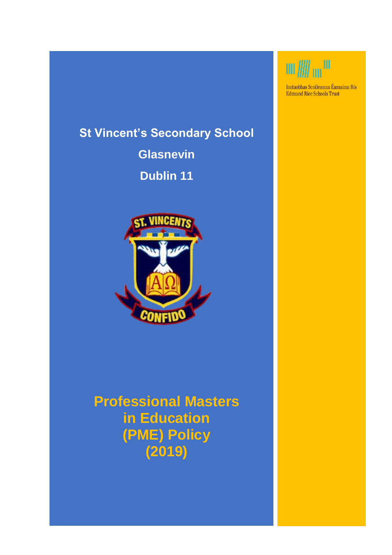# **St Vincent's Secondary School**

**Glasnevin Dublin 11**



**Professional Masters in Education (PME) Policy (2019)**

# $\mathfrak{m}/\!\!/ \mathfrak{m}^{\mathfrak{m}}$

Iontaobhas Scoileanna Éamainn Rís Edmund Rice Schools Trust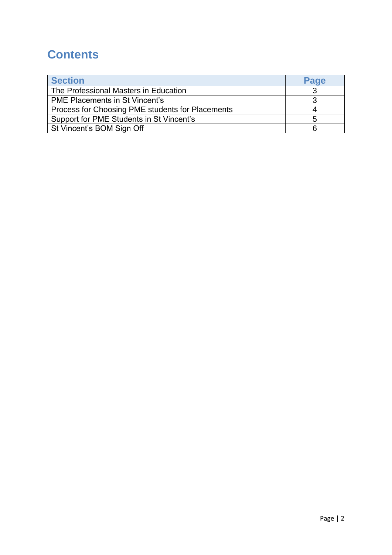## **Contents**

| <b>Section</b>                                   | Page |
|--------------------------------------------------|------|
| The Professional Masters in Education            |      |
| <b>PME Placements in St Vincent's</b>            |      |
| Process for Choosing PME students for Placements |      |
| Support for PME Students in St Vincent's         |      |
| St Vincent's BOM Sign Off                        |      |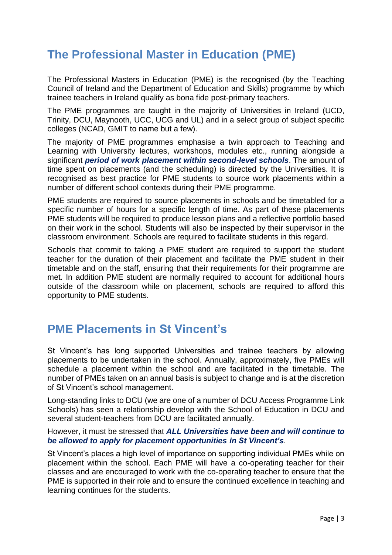### **The Professional Master in Education (PME)**

The Professional Masters in Education (PME) is the recognised (by the Teaching Council of Ireland and the Department of Education and Skills) programme by which trainee teachers in Ireland qualify as bona fide post-primary teachers.

The PME programmes are taught in the majority of Universities in Ireland (UCD, Trinity, DCU, Maynooth, UCC, UCG and UL) and in a select group of subject specific colleges (NCAD, GMIT to name but a few).

The majority of PME programmes emphasise a twin approach to Teaching and Learning with University lectures, workshops, modules etc., running alongside a significant *period of work placement within second-level schools*. The amount of time spent on placements (and the scheduling) is directed by the Universities. It is recognised as best practice for PME students to source work placements within a number of different school contexts during their PME programme.

PME students are required to source placements in schools and be timetabled for a specific number of hours for a specific length of time. As part of these placements PME students will be required to produce lesson plans and a reflective portfolio based on their work in the school. Students will also be inspected by their supervisor in the classroom environment. Schools are required to facilitate students in this regard.

Schools that commit to taking a PME student are required to support the student teacher for the duration of their placement and facilitate the PME student in their timetable and on the staff, ensuring that their requirements for their programme are met. In addition PME student are normally required to account for additional hours outside of the classroom while on placement, schools are required to afford this opportunity to PME students.

#### **PME Placements in St Vincent's**

St Vincent's has long supported Universities and trainee teachers by allowing placements to be undertaken in the school. Annually, approximately, five PMEs will schedule a placement within the school and are facilitated in the timetable. The number of PMEs taken on an annual basis is subject to change and is at the discretion of St Vincent's school management.

Long-standing links to DCU (we are one of a number of DCU Access Programme Link Schools) has seen a relationship develop with the School of Education in DCU and several student-teachers from DCU are facilitated annually.

#### However, it must be stressed that *ALL Universities have been and will continue to be allowed to apply for placement opportunities in St Vincent's*.

St Vincent's places a high level of importance on supporting individual PMEs while on placement within the school. Each PME will have a co-operating teacher for their classes and are encouraged to work with the co-operating teacher to ensure that the PME is supported in their role and to ensure the continued excellence in teaching and learning continues for the students.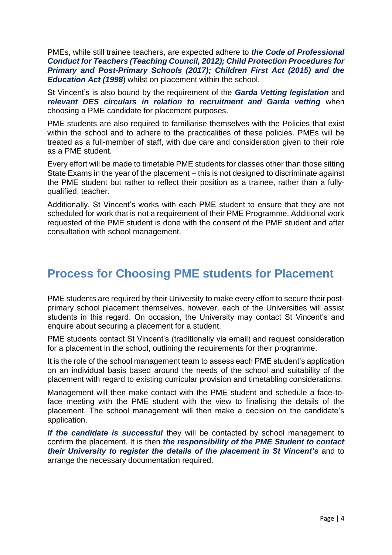PMEs, while still trainee teachers, are expected adhere to *the Code of Professional Conduct for Teachers (Teaching Council, 2012); Child Protection Procedures for Primary and Post-Primary Schools (2017); Children First Act (2015) and the Education Act (1998*) whilst on placement within the school.

St Vincent's is also bound by the requirement of the *Garda Vetting legislation* and *relevant DES circulars in relation to recruitment and Garda vetting* when choosing a PME candidate for placement purposes.

PME students are also required to familiarise themselves with the Policies that exist within the school and to adhere to the practicalities of these policies. PMEs will be treated as a full-member of staff, with due care and consideration given to their role as a PME student.

Every effort will be made to timetable PME students for classes other than those sitting State Exams in the year of the placement – this is not designed to discriminate against the PME student but rather to reflect their position as a trainee, rather than a fullyqualified, teacher.

Additionally, St Vincent's works with each PME student to ensure that they are not scheduled for work that is not a requirement of their PME Programme. Additional work requested of the PME student is done with the consent of the PME student and after consultation with school management.

#### **Process for Choosing PME students for Placement**

PME students are required by their University to make every effort to secure their postprimary school placement themselves, however, each of the Universities will assist students in this regard. On occasion, the University may contact St Vincent's and enquire about securing a placement for a student.

PME students contact St Vincent's (traditionally via email) and request consideration for a placement in the school, outlining the requirements for their programme.

It is the role of the school management team to assess each PME student's application on an individual basis based around the needs of the school and suitability of the placement with regard to existing curricular provision and timetabling considerations.

Management will then make contact with the PME student and schedule a face-toface meeting with the PME student with the view to finalising the details of the placement. The school management will then make a decision on the candidate's application.

*If the candidate is successful* they will be contacted by school management to confirm the placement. It is then *the responsibility of the PME Student to contact their University to register the details of the placement in St Vincent's* and to arrange the necessary documentation required.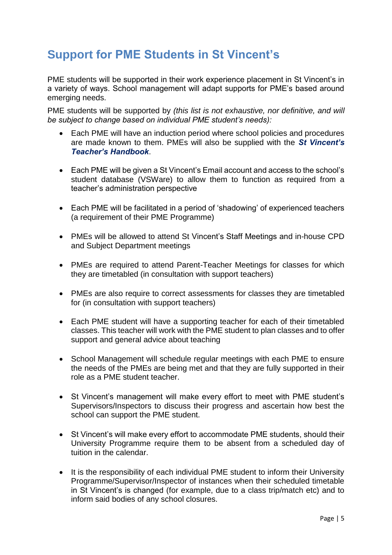# **Support for PME Students in St Vincent's**

PME students will be supported in their work experience placement in St Vincent's in a variety of ways. School management will adapt supports for PME's based around emerging needs.

PME students will be supported by *(this list is not exhaustive, nor definitive, and will be subject to change based on individual PME student's needs):*

- Each PME will have an induction period where school policies and procedures are made known to them. PMEs will also be supplied with the *St Vincent's Teacher's Handbook*.
- Each PME will be given a St Vincent's Email account and access to the school's student database (VSWare) to allow them to function as required from a teacher's administration perspective
- Each PME will be facilitated in a period of 'shadowing' of experienced teachers (a requirement of their PME Programme)
- PMEs will be allowed to attend St Vincent's Staff Meetings and in-house CPD and Subject Department meetings
- PMEs are required to attend Parent-Teacher Meetings for classes for which they are timetabled (in consultation with support teachers)
- PMEs are also require to correct assessments for classes they are timetabled for (in consultation with support teachers)
- Each PME student will have a supporting teacher for each of their timetabled classes. This teacher will work with the PME student to plan classes and to offer support and general advice about teaching
- School Management will schedule regular meetings with each PME to ensure the needs of the PMEs are being met and that they are fully supported in their role as a PME student teacher.
- St Vincent's management will make every effort to meet with PME student's Supervisors/Inspectors to discuss their progress and ascertain how best the school can support the PME student.
- St Vincent's will make every effort to accommodate PME students, should their University Programme require them to be absent from a scheduled day of tuition in the calendar.
- It is the responsibility of each individual PME student to inform their University Programme/Supervisor/Inspector of instances when their scheduled timetable in St Vincent's is changed (for example, due to a class trip/match etc) and to inform said bodies of any school closures.